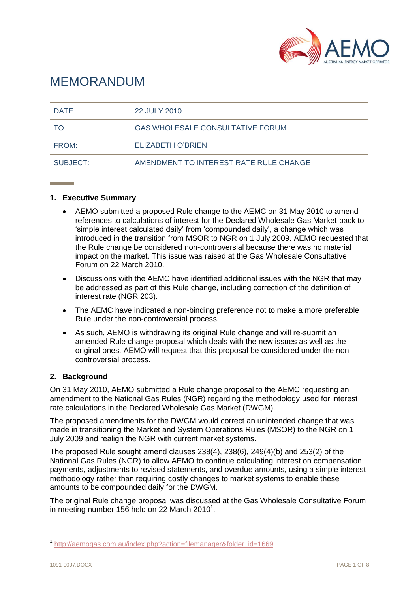

# MEMORANDUM

| DATE:    | 22 JULY 2010                            |
|----------|-----------------------------------------|
| TO:      | <b>GAS WHOLESALE CONSULTATIVE FORUM</b> |
| FROM:    | <b>ELIZABETH O'BRIEN</b>                |
| SUBJECT: | AMENDMENT TO INTEREST RATE RULE CHANGE  |

## **1. Executive Summary**

- AEMO submitted a proposed Rule change to the AEMC on 31 May 2010 to amend references to calculations of interest for the Declared Wholesale Gas Market back to "simple interest calculated daily" from "compounded daily", a change which was introduced in the transition from MSOR to NGR on 1 July 2009. AEMO requested that the Rule change be considered non-controversial because there was no material impact on the market. This issue was raised at the Gas Wholesale Consultative Forum on 22 March 2010.
- Discussions with the AEMC have identified additional issues with the NGR that may be addressed as part of this Rule change, including correction of the definition of interest rate (NGR 203).
- The AEMC have indicated a non-binding preference not to make a more preferable Rule under the non-controversial process.
- As such, AEMO is withdrawing its original Rule change and will re-submit an amended Rule change proposal which deals with the new issues as well as the original ones. AEMO will request that this proposal be considered under the noncontroversial process.

## **2. Background**

On 31 May 2010, AEMO submitted a Rule change proposal to the AEMC requesting an amendment to the National Gas Rules (NGR) regarding the methodology used for interest rate calculations in the Declared Wholesale Gas Market (DWGM).

The proposed amendments for the DWGM would correct an unintended change that was made in transitioning the Market and System Operations Rules (MSOR) to the NGR on 1 July 2009 and realign the NGR with current market systems.

The proposed Rule sought amend clauses 238(4), 238(6), 249(4)(b) and 253(2) of the National Gas Rules (NGR) to allow AEMO to continue calculating interest on compensation payments, adjustments to revised statements, and overdue amounts, using a simple interest methodology rather than requiring costly changes to market systems to enable these amounts to be compounded daily for the DWGM.

The original Rule change proposal was discussed at the Gas Wholesale Consultative Forum in meeting number 156 held on 22 March 2010<sup>1</sup>.

 1 [http://aemogas.com.au/index.php?action=filemanager&folder\\_id=1669](http://aemogas.com.au/index.php?action=filemanager&folder_id=1669)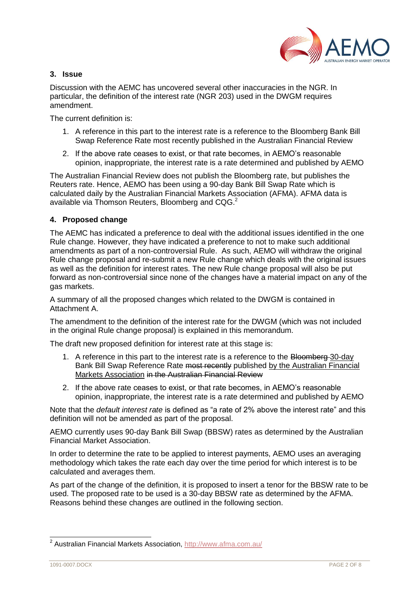

#### **3. Issue**

Discussion with the AEMC has uncovered several other inaccuracies in the NGR. In particular, the definition of the interest rate (NGR 203) used in the DWGM requires amendment.

The current definition is:

- 1. A reference in this part to the interest rate is a reference to the Bloomberg Bank Bill Swap Reference Rate most recently published in the Australian Financial Review
- 2. If the above rate ceases to exist, or that rate becomes, in AEMO"s reasonable opinion, inappropriate, the interest rate is a rate determined and published by AEMO

The Australian Financial Review does not publish the Bloomberg rate, but publishes the Reuters rate. Hence, AEMO has been using a 90-day Bank Bill Swap Rate which is calculated daily by the Australian Financial Markets Association (AFMA). AFMA data is available via Thomson Reuters, Bloomberg and CQG.<sup>2</sup>

#### **4. Proposed change**

The AEMC has indicated a preference to deal with the additional issues identified in the one Rule change. However, they have indicated a preference to not to make such additional amendments as part of a non-controversial Rule. As such, AEMO will withdraw the original Rule change proposal and re-submit a new Rule change which deals with the original issues as well as the definition for interest rates. The new Rule change proposal will also be put forward as non-controversial since none of the changes have a material impact on any of the gas markets.

A summary of all the proposed changes which related to the DWGM is contained in Attachment A.

The amendment to the definition of the interest rate for the DWGM (which was not included in the original Rule change proposal) is explained in this memorandum.

The draft new proposed definition for interest rate at this stage is:

- 1. A reference in this part to the interest rate is a reference to the Bloomberg-30-day Bank Bill Swap Reference Rate most recently published by the Australian Financial Markets Association in the Australian Financial Review
- 2. If the above rate ceases to exist, or that rate becomes, in AEMO"s reasonable opinion, inappropriate, the interest rate is a rate determined and published by AEMO

Note that the *default interest rate* is defined as "a rate of 2% above the interest rate" and this definition will not be amended as part of the proposal.

AEMO currently uses 90-day Bank Bill Swap (BBSW) rates as determined by the Australian Financial Market Association.

In order to determine the rate to be applied to interest payments, AEMO uses an averaging methodology which takes the rate each day over the time period for which interest is to be calculated and averages them.

As part of the change of the definition, it is proposed to insert a tenor for the BBSW rate to be used. The proposed rate to be used is a 30-day BBSW rate as determined by the AFMA. Reasons behind these changes are outlined in the following section.

 2 Australian Financial Markets Association,<http://www.afma.com.au/>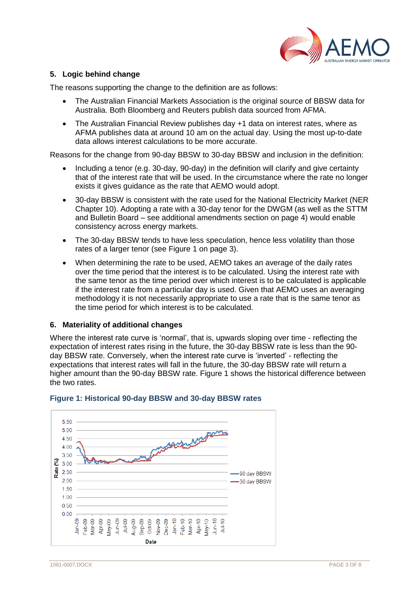

# **5. Logic behind change**

The reasons supporting the change to the definition are as follows:

- The Australian Financial Markets Association is the original source of BBSW data for Australia. Both Bloomberg and Reuters publish data sourced from AFMA.
- The Australian Financial Review publishes day +1 data on interest rates, where as AFMA publishes data at around 10 am on the actual day. Using the most up-to-date data allows interest calculations to be more accurate.

Reasons for the change from 90-day BBSW to 30-day BBSW and inclusion in the definition:

- Including a tenor (e.g. 30-day, 90-day) in the definition will clarify and give certainty that of the interest rate that will be used. In the circumstance where the rate no longer exists it gives guidance as the rate that AEMO would adopt.
- 30-day BBSW is consistent with the rate used for the National Electricity Market (NER Chapter 10). Adopting a rate with a 30-day tenor for the DWGM (as well as the STTM and Bulletin Board – see additional amendments section on page [4\)](#page-3-0) would enable consistency across energy markets.
- The 30-day BBSW tends to have less speculation, hence less volatility than those rates of a larger tenor (see [Figure 1](#page-2-0) on page [3\)](#page-2-0).
- When determining the rate to be used, AEMO takes an average of the daily rates over the time period that the interest is to be calculated. Using the interest rate with the same tenor as the time period over which interest is to be calculated is applicable if the interest rate from a particular day is used. Given that AEMO uses an averaging methodology it is not necessarily appropriate to use a rate that is the same tenor as the time period for which interest is to be calculated.

#### **6. Materiality of additional changes**

Where the interest rate curve is 'normal', that is, upwards sloping over time - reflecting the expectation of interest rates rising in the future, the 30-day BBSW rate is less than the 90 day BBSW rate. Conversely, when the interest rate curve is "inverted" - reflecting the expectations that interest rates will fall in the future, the 30-day BBSW rate will return a higher amount than the 90-day BBSW rate. Figure 1 shows the historical difference between the two rates.



## <span id="page-2-0"></span>**Figure 1: Historical 90-day BBSW and 30-day BBSW rates**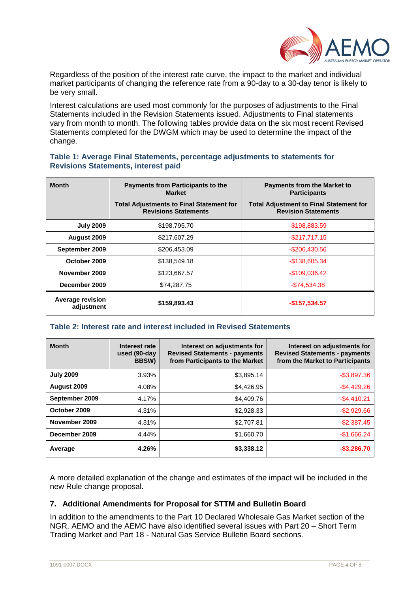

Regardless of the position of the interest rate curve, the impact to the market and individual market participants of changing the reference rate from a 90-day to a 30-day tenor is likely to be very small.

Interest calculations are used most commonly for the purposes of adjustments to the Final Statements included in the Revision Statements issued. Adjustments to Final statements vary from month to month. The following tables provide data on the six most recent Revised Statements completed for the DWGM which may be used to determine the impact of the change.

#### **Table 1: Average Final Statements, percentage adjustments to statements for Revisions Statements, interest paid**

| <b>Month</b>                          | <b>Payments from Participants to the</b><br><b>Market</b>                      | <b>Payments from the Market to</b><br><b>Participants</b>                    |  |
|---------------------------------------|--------------------------------------------------------------------------------|------------------------------------------------------------------------------|--|
|                                       | <b>Total Adjustments to Final Statement for</b><br><b>Revisions Statements</b> | <b>Total Adjustment to Final Statement for</b><br><b>Revision Statements</b> |  |
| <b>July 2009</b>                      | \$198,795.70                                                                   | $-$198,883.59$                                                               |  |
| August 2009                           | \$217,607.29                                                                   | $-$ \$217.717.15                                                             |  |
| September 2009                        | \$206,453.09                                                                   | $-$ \$206,430.56                                                             |  |
| October 2009                          | \$138,549.18                                                                   | $-$138,605.34$                                                               |  |
| November 2009                         | \$123,667.57                                                                   | $-$109,036.42$                                                               |  |
| December 2009                         | \$74,287.75                                                                    | $-$74,534.38$                                                                |  |
| <b>Average revision</b><br>adjustment | \$159,893.43                                                                   | $-$157,534.57$                                                               |  |

## **Table 2: Interest rate and interest included in Revised Statements**

| <b>Month</b>     | Interest rate<br>used (90-day<br><b>BBSW)</b> | Interest on adjustments for<br><b>Revised Statements - payments</b><br>from Participants to the Market | Interest on adjustments for<br><b>Revised Statements - payments</b><br>from the Market to Participants |
|------------------|-----------------------------------------------|--------------------------------------------------------------------------------------------------------|--------------------------------------------------------------------------------------------------------|
| <b>July 2009</b> | 3.93%                                         | \$3,895.14                                                                                             | $-$3,897.36$                                                                                           |
| August 2009      | 4.08%                                         | \$4,426.95                                                                                             | $-$4,429.26$                                                                                           |
| September 2009   | 4.17%                                         | \$4,409.76                                                                                             | $-$4,410.21$                                                                                           |
| October 2009     | 4.31%                                         | \$2,928.33                                                                                             | $-$2,929.66$                                                                                           |
| November 2009    | 4.31%                                         | \$2,707.81                                                                                             | $-$2,387.45$                                                                                           |
| December 2009    | 4.44%                                         | \$1,660.70                                                                                             | $-$1,666.24$                                                                                           |
| Average          | 4.26%                                         | \$3,338.12                                                                                             | $-$3,286.70$                                                                                           |

A more detailed explanation of the change and estimates of the impact will be included in the new Rule change proposal.

## <span id="page-3-0"></span>**7. Additional Amendments for Proposal for STTM and Bulletin Board**

In addition to the amendments to the Part 10 Declared Wholesale Gas Market section of the NGR, AEMO and the AEMC have also identified several issues with Part 20 – Short Term Trading Market and Part 18 - Natural Gas Service Bulletin Board sections.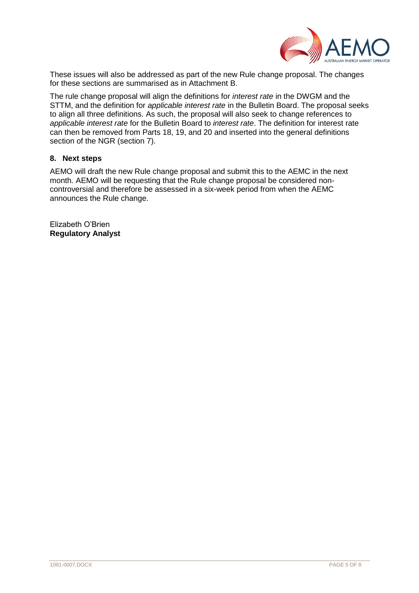

These issues will also be addressed as part of the new Rule change proposal. The changes for these sections are summarised as in Attachment B.

The rule change proposal will align the definitions for *interest rate* in the DWGM and the STTM, and the definition for *applicable interest rate* in the Bulletin Board. The proposal seeks to align all three definitions. As such, the proposal will also seek to change references to *applicable interest rate* for the Bulletin Board to *interest rate*. The definition for interest rate can then be removed from Parts 18, 19, and 20 and inserted into the general definitions section of the NGR (section 7).

#### **8. Next steps**

AEMO will draft the new Rule change proposal and submit this to the AEMC in the next month. AEMO will be requesting that the Rule change proposal be considered noncontroversial and therefore be assessed in a six-week period from when the AEMC announces the Rule change.

Elizabeth O"Brien **Regulatory Analyst**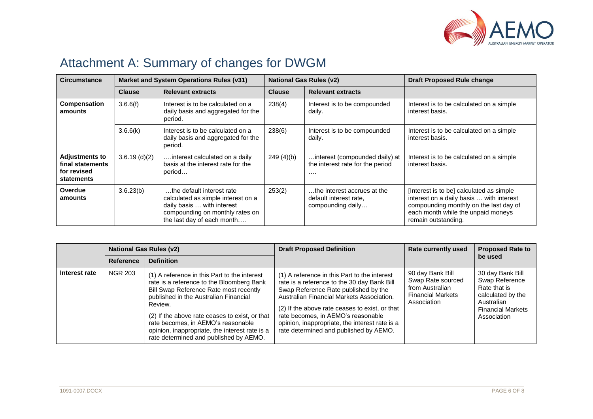

# Attachment A: Summary of changes for DWGM

| <b>Circumstance</b>                                                    | Market and System Operations Rules (v31) |                                                                                                                                                                |               | <b>National Gas Rules (v2)</b>                                                 | <b>Draft Proposed Rule change</b>                                                                                                                                                           |  |
|------------------------------------------------------------------------|------------------------------------------|----------------------------------------------------------------------------------------------------------------------------------------------------------------|---------------|--------------------------------------------------------------------------------|---------------------------------------------------------------------------------------------------------------------------------------------------------------------------------------------|--|
|                                                                        | <b>Clause</b>                            | <b>Relevant extracts</b>                                                                                                                                       | <b>Clause</b> | <b>Relevant extracts</b>                                                       |                                                                                                                                                                                             |  |
| <b>Compensation</b><br>amounts                                         | 3.6.6(f)                                 | Interest is to be calculated on a<br>daily basis and aggregated for the<br>period.                                                                             | 238(4)        | Interest is to be compounded<br>daily.                                         | Interest is to be calculated on a simple<br>interest basis.                                                                                                                                 |  |
|                                                                        | 3.6.6(k)                                 | Interest is to be calculated on a<br>daily basis and aggregated for the<br>period.                                                                             | 238(6)        | Interest is to be compounded<br>daily.                                         | Interest is to be calculated on a simple<br>interest basis.                                                                                                                                 |  |
| <b>Adjustments to</b><br>final statements<br>for revised<br>statements | 3.6.19(d)(2)                             | interest calculated on a daily<br>basis at the interest rate for the<br>period                                                                                 | 249(4)(b)     | interest (compounded daily) at<br>the interest rate for the period<br>$\cdots$ | Interest is to be calculated on a simple<br>interest basis.                                                                                                                                 |  |
| Overdue<br>amounts                                                     | 3.6.23(b)                                | the default interest rate<br>calculated as simple interest on a<br>daily basis  with interest<br>compounding on monthly rates on<br>the last day of each month | 253(2)        | the interest accrues at the<br>default interest rate.<br>compounding daily     | [Interest is to be] calculated as simple<br>interest on a daily basis  with interest<br>compounding monthly on the last day of<br>each month while the unpaid moneys<br>remain outstanding. |  |

|               | <b>National Gas Rules (v2)</b> |                                                                                                                                                                                                                                                                                                                                                                             | <b>Draft Proposed Definition</b>                                                                                                                                                                                                                                                                                                                                     | <b>Rate currently used</b>                                                                          | <b>Proposed Rate to</b>                                                                                                          |
|---------------|--------------------------------|-----------------------------------------------------------------------------------------------------------------------------------------------------------------------------------------------------------------------------------------------------------------------------------------------------------------------------------------------------------------------------|----------------------------------------------------------------------------------------------------------------------------------------------------------------------------------------------------------------------------------------------------------------------------------------------------------------------------------------------------------------------|-----------------------------------------------------------------------------------------------------|----------------------------------------------------------------------------------------------------------------------------------|
|               | <b>Reference</b>               | <b>Definition</b>                                                                                                                                                                                                                                                                                                                                                           |                                                                                                                                                                                                                                                                                                                                                                      |                                                                                                     | be used                                                                                                                          |
| Interest rate | <b>NGR 203</b>                 | (1) A reference in this Part to the interest<br>rate is a reference to the Bloomberg Bank<br>Bill Swap Reference Rate most recently<br>published in the Australian Financial<br>Review.<br>(2) If the above rate ceases to exist, or that<br>rate becomes, in AEMO's reasonable<br>opinion, inappropriate, the interest rate is a<br>rate determined and published by AEMO. | (1) A reference in this Part to the interest<br>rate is a reference to the 30 day Bank Bill<br>Swap Reference Rate published by the<br>Australian Financial Markets Association.<br>(2) If the above rate ceases to exist, or that<br>rate becomes, in AEMO's reasonable<br>opinion, inappropriate, the interest rate is a<br>rate determined and published by AEMO. | 90 day Bank Bill<br>Swap Rate sourced<br>from Australian<br><b>Financial Markets</b><br>Association | 30 day Bank Bill<br>Swap Reference<br>Rate that is<br>calculated by the<br>Australian<br><b>Financial Markets</b><br>Association |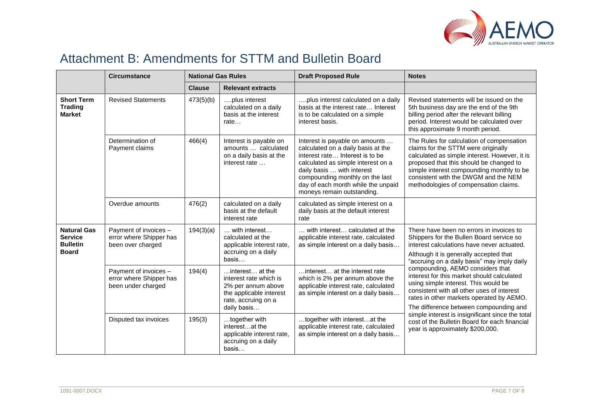

# Attachment B: Amendments for STTM and Bulletin Board

|                                                                         | <b>Circumstance</b>                                                    | <b>National Gas Rules</b> |                                                                                                                                  | <b>Draft Proposed Rule</b>                                                                                                                                                                                                                                                         | <b>Notes</b>                                                                                                                                                                                                                                                                                               |  |
|-------------------------------------------------------------------------|------------------------------------------------------------------------|---------------------------|----------------------------------------------------------------------------------------------------------------------------------|------------------------------------------------------------------------------------------------------------------------------------------------------------------------------------------------------------------------------------------------------------------------------------|------------------------------------------------------------------------------------------------------------------------------------------------------------------------------------------------------------------------------------------------------------------------------------------------------------|--|
|                                                                         |                                                                        | <b>Clause</b>             | <b>Relevant extracts</b>                                                                                                         |                                                                                                                                                                                                                                                                                    |                                                                                                                                                                                                                                                                                                            |  |
| <b>Short Term</b><br><b>Trading</b><br><b>Market</b>                    | <b>Revised Statements</b>                                              | 473(5)(b)                 | plus interest<br>calculated on a daily<br>basis at the interest<br>rate                                                          | plus interest calculated on a daily<br>basis at the interest rate Interest<br>is to be calculated on a simple<br>interest basis.                                                                                                                                                   | Revised statements will be issued on the<br>5th business day are the end of the 9th<br>billing period after the relevant billing<br>period. Interest would be calculated over<br>this approximate 9 month period.                                                                                          |  |
|                                                                         | Determination of<br>Payment claims                                     | 466(4)                    | Interest is payable on<br>amounts  calculated<br>on a daily basis at the<br>interest rate                                        | Interest is payable on amounts<br>calculated on a daily basis at the<br>interest rate Interest is to be<br>calculated as simple interest on a<br>daily basis  with interest<br>compounding monthly on the last<br>day of each month while the unpaid<br>moneys remain outstanding. | The Rules for calculation of compensation<br>claims for the STTM were originally<br>calculated as simple interest. However, it is<br>proposed that this should be changed to<br>simple interest compounding monthly to be<br>consistent with the DWGM and the NEM<br>methodologies of compensation claims. |  |
|                                                                         | Overdue amounts                                                        | 476(2)                    | calculated on a daily<br>basis at the default<br>interest rate                                                                   | calculated as simple interest on a<br>daily basis at the default interest<br>rate                                                                                                                                                                                                  |                                                                                                                                                                                                                                                                                                            |  |
| <b>Natural Gas</b><br><b>Service</b><br><b>Bulletin</b><br><b>Board</b> | Payment of invoices -<br>error where Shipper has<br>been over charged  | 194(3)(a)                 | $\ldots$ with interest<br>calculated at the<br>applicable interest rate,<br>accruing on a daily<br>basis                         | with interest calculated at the<br>applicable interest rate, calculated<br>as simple interest on a daily basis                                                                                                                                                                     | There have been no errors in invoices to<br>Shippers for the Bullen Board service so<br>interest calculations have never actuated.<br>Although it is generally accepted that<br>"accruing on a daily basis" may imply daily                                                                                |  |
|                                                                         | Payment of invoices -<br>error where Shipper has<br>been under charged | 194(4)                    | interest at the<br>interest rate which is<br>2% per annum above<br>the applicable interest<br>rate, accruing on a<br>daily basis | interest at the interest rate<br>which is 2% per annum above the<br>applicable interest rate, calculated<br>as simple interest on a daily basis                                                                                                                                    | compounding, AEMO considers that<br>interest for this market should calculated<br>using simple interest. This would be<br>consistent with all other uses of interest<br>rates in other markets operated by AEMO.<br>The difference between compounding and                                                 |  |
|                                                                         | Disputed tax invoices                                                  | 195(3)                    | together with<br>interestat the<br>applicable interest rate,<br>accruing on a daily<br>basis                                     | together with interestat the<br>applicable interest rate, calculated<br>as simple interest on a daily basis                                                                                                                                                                        | simple interest is insignificant since the total<br>cost of the Bulletin Board for each financial<br>year is approximately \$200,000.                                                                                                                                                                      |  |